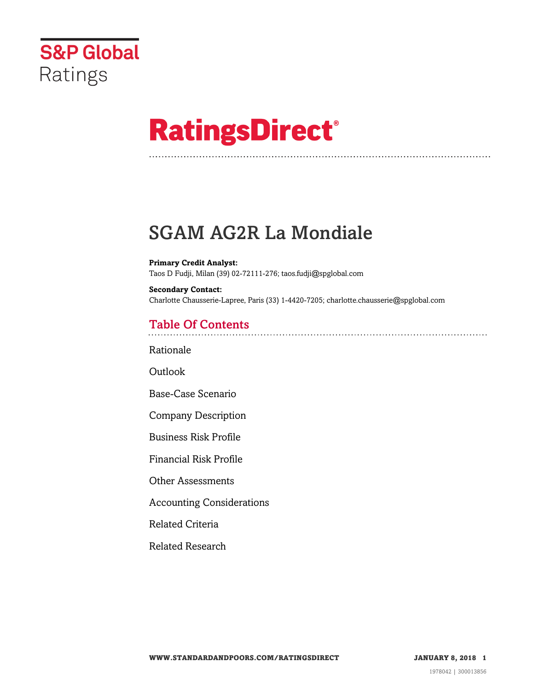

# **RatingsDirect®**

## SGAM AG2R La Mondiale

**Primary Credit Analyst:** Taos D Fudji, Milan (39) 02-72111-276; taos.fudji@spglobal.com

**Secondary Contact:** Charlotte Chausserie-Lapree, Paris (33) 1-4420-7205; charlotte.chausserie@spglobal.com

## Table Of Contents

[Rationale](#page-1-0)

Outlook

[Base-Case Scenario](#page-2-0)

[Company Description](#page-3-0)

[Business Risk Profile](#page-4-0)

[Financial Risk Profile](#page-5-0)

[Other Assessments](#page-9-0)

[Accounting Considerations](#page-9-1)

[Related Criteria](#page-9-2)

[Related Research](#page-10-0)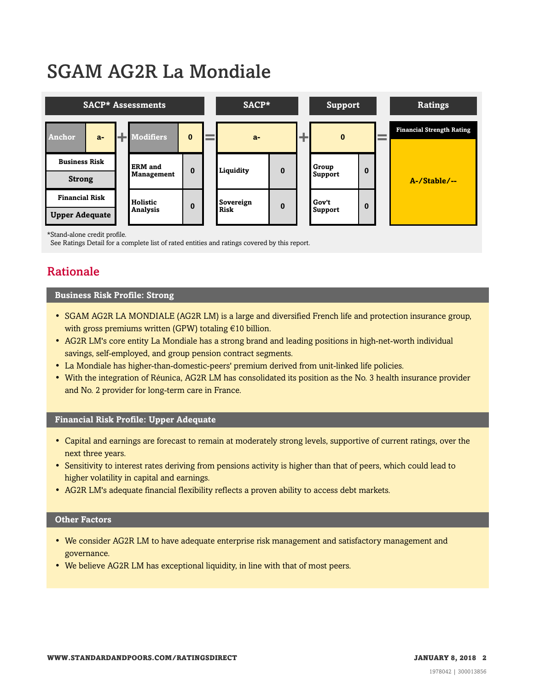## SGAM AG2R La Mondiale



\*Stand-alone credit profile.

<span id="page-1-0"></span>See Ratings Detail for a complete list of rated entities and ratings covered by this report.

## Rationale

#### **Business Risk Profile: Strong**

- SGAM AG2R LA MONDIALE (AG2R LM) is a large and diversified French life and protection insurance group, with gross premiums written (GPW) totaling €10 billion.
- AG2R LM's core entity La Mondiale has a strong brand and leading positions in high-net-worth individual savings, self-employed, and group pension contract segments.
- La Mondiale has higher-than-domestic-peers' premium derived from unit-linked life policies.
- With the integration of Réunica, AG2R LM has consolidated its position as the No. 3 health insurance provider and No. 2 provider for long-term care in France.

#### **Financial Risk Profile: Upper Adequate**

- Capital and earnings are forecast to remain at moderately strong levels, supportive of current ratings, over the next three years.
- Sensitivity to interest rates deriving from pensions activity is higher than that of peers, which could lead to higher volatility in capital and earnings.
- AG2R LM's adequate financial flexibility reflects a proven ability to access debt markets.

#### **Other Factors**

- We consider AG2R LM to have adequate enterprise risk management and satisfactory management and governance.
- We believe AG2R LM has exceptional liquidity, in line with that of most peers.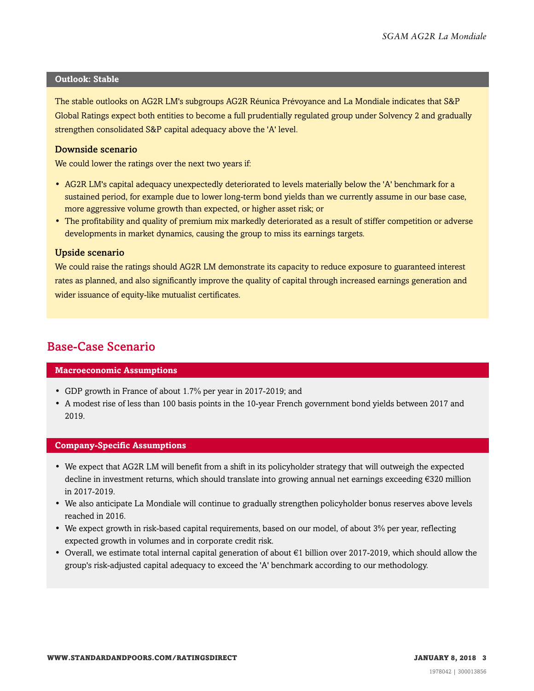#### **Outlook: Stable**

The stable outlooks on AG2R LM's subgroups AG2R Réunica Prévoyance and La Mondiale indicates that S&P Global Ratings expect both entities to become a full prudentially regulated group under Solvency 2 and gradually strengthen consolidated S&P capital adequacy above the 'A' level.

#### Downside scenario

We could lower the ratings over the next two years if:

- AG2R LM's capital adequacy unexpectedly deteriorated to levels materially below the 'A' benchmark for a sustained period, for example due to lower long-term bond yields than we currently assume in our base case, more aggressive volume growth than expected, or higher asset risk; or
- The profitability and quality of premium mix markedly deteriorated as a result of stiffer competition or adverse developments in market dynamics, causing the group to miss its earnings targets.

#### Upside scenario

We could raise the ratings should AG2R LM demonstrate its capacity to reduce exposure to guaranteed interest rates as planned, and also significantly improve the quality of capital through increased earnings generation and wider issuance of equity-like mutualist certificates.

## <span id="page-2-0"></span>Base-Case Scenario

#### **Macroeconomic Assumptions**

- GDP growth in France of about 1.7% per year in 2017-2019; and
- A modest rise of less than 100 basis points in the 10-year French government bond yields between 2017 and 2019.

#### **Company-Specific Assumptions**

- We expect that AG2R LM will benefit from a shift in its policyholder strategy that will outweigh the expected decline in investment returns, which should translate into growing annual net earnings exceeding €320 million in 2017-2019.
- We also anticipate La Mondiale will continue to gradually strengthen policyholder bonus reserves above levels reached in 2016.
- We expect growth in risk-based capital requirements, based on our model, of about 3% per year, reflecting expected growth in volumes and in corporate credit risk.
- Overall, we estimate total internal capital generation of about €1 billion over 2017-2019, which should allow the group's risk-adjusted capital adequacy to exceed the 'A' benchmark according to our methodology.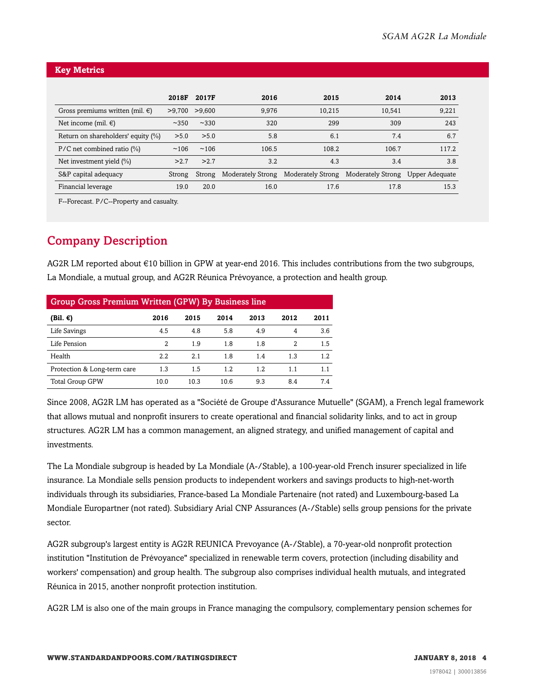#### **Key Metrics**

|                                      | 2018F   | 2017F  | 2016                     | 2015                     | 2014                             | 2013  |
|--------------------------------------|---------|--------|--------------------------|--------------------------|----------------------------------|-------|
| Gross premiums written (mil. $\in$ ) | >9.700  | >9.600 | 9.976                    | 10,215                   | 10.541                           | 9,221 |
| Net income (mil. $\epsilon$ )        | ~14.350 | ~2330  | 320                      | 299                      | 309                              | 243   |
| Return on shareholders' equity (%)   | > 5.0   | > 5.0  | 5.8                      | 6.1                      | 7.4                              | 6.7   |
| $P/C$ net combined ratio $(\%)$      | ~106    | ~106   | 106.5                    | 108.2                    | 106.7                            | 117.2 |
| Net investment yield $(\%)$          | >2.7    | >2.7   | 3.2                      | 4.3                      | 3.4                              | 3.8   |
| S&P capital adequacy                 | Strong  | Strong | <b>Moderately Strong</b> | <b>Moderately Strong</b> | Moderately Strong Upper Adequate |       |
| Financial leverage                   | 19.0    | 20.0   | 16.0                     | 17.6                     | 17.8                             | 15.3  |

F--Forecast. P/C--Property and casualty.

## <span id="page-3-0"></span>Company Description

AG2R LM reported about €10 billion in GPW at year-end 2016. This includes contributions from the two subgroups, La Mondiale, a mutual group, and AG2R Réunica Prévoyance, a protection and health group.

| <b>Group Gross Premium Written (GPW) By Business line</b> |      |      |      |      |      |      |  |
|-----------------------------------------------------------|------|------|------|------|------|------|--|
| (Bil. €)                                                  | 2016 | 2015 | 2014 | 2013 | 2012 | 2011 |  |
| Life Savings                                              | 4.5  | 4.8  | 5.8  | 4.9  | 4    | 3.6  |  |
| Life Pension                                              | 2    | 1.9  | 1.8  | 1.8  | 2    | 1.5  |  |
| Health                                                    | 2.2  | 2.1  | 1.8  | 1.4  | 1.3  | 1.2  |  |
| Protection & Long-term care                               | 1.3  | 1.5  | 1.2  | 1.2  | 1.1  | 1.1  |  |
| <b>Total Group GPW</b>                                    | 10.0 | 10.3 | 10.6 | 9.3  | 8.4  | 7.4  |  |

Since 2008, AG2R LM has operated as a "Société de Groupe d'Assurance Mutuelle" (SGAM), a French legal framework that allows mutual and nonprofit insurers to create operational and financial solidarity links, and to act in group structures. AG2R LM has a common management, an aligned strategy, and unified management of capital and investments.

The La Mondiale subgroup is headed by La Mondiale (A-/Stable), a 100-year-old French insurer specialized in life insurance. La Mondiale sells pension products to independent workers and savings products to high-net-worth individuals through its subsidiaries, France-based La Mondiale Partenaire (not rated) and Luxembourg-based La Mondiale Europartner (not rated). Subsidiary Arial CNP Assurances (A-/Stable) sells group pensions for the private sector.

AG2R subgroup's largest entity is AG2R REUNICA Prevoyance (A-/Stable), a 70-year-old nonprofit protection institution "Institution de Prévoyance" specialized in renewable term covers, protection (including disability and workers' compensation) and group health. The subgroup also comprises individual health mutuals, and integrated Réunica in 2015, another nonprofit protection institution.

AG2R LM is also one of the main groups in France managing the compulsory, complementary pension schemes for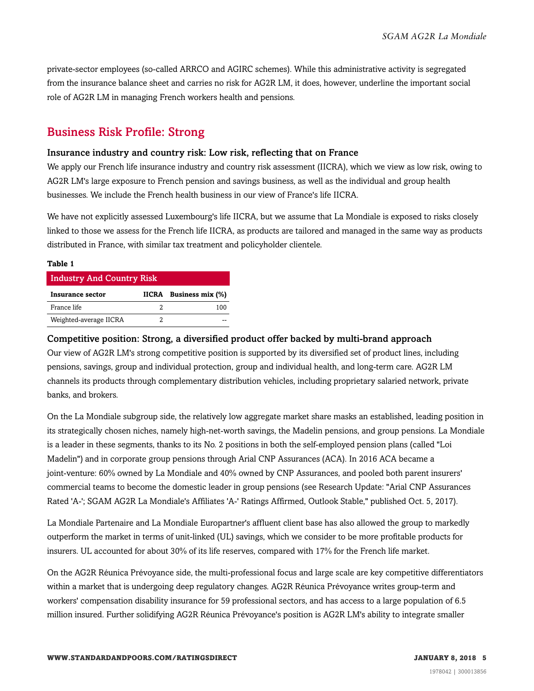private-sector employees (so-called ARRCO and AGIRC schemes). While this administrative activity is segregated from the insurance balance sheet and carries no risk for AG2R LM, it does, however, underline the important social role of AG2R LM in managing French workers health and pensions.

## <span id="page-4-0"></span>Business Risk Profile: Strong

#### Insurance industry and country risk: Low risk, reflecting that on France

We apply our French life insurance industry and country risk assessment (IICRA), which we view as low risk, owing to AG2R LM's large exposure to French pension and savings business, as well as the individual and group health businesses. We include the French health business in our view of France's life IICRA.

We have not explicitly assessed Luxembourg's life IICRA, but we assume that La Mondiale is exposed to risks closely linked to those we assess for the French life IICRA, as products are tailored and managed in the same way as products distributed in France, with similar tax treatment and policyholder clientele.

#### **Table 1**

| <b>Industry And Country Risk</b> |  |                        |  |  |  |  |
|----------------------------------|--|------------------------|--|--|--|--|
| Insurance sector                 |  | IICRA Business mix (%) |  |  |  |  |
| France life                      |  | 100                    |  |  |  |  |
| Weighted-average IICRA           |  |                        |  |  |  |  |

#### Competitive position: Strong, a diversified product offer backed by multi-brand approach

Our view of AG2R LM's strong competitive position is supported by its diversified set of product lines, including pensions, savings, group and individual protection, group and individual health, and long-term care. AG2R LM channels its products through complementary distribution vehicles, including proprietary salaried network, private banks, and brokers.

On the La Mondiale subgroup side, the relatively low aggregate market share masks an established, leading position in its strategically chosen niches, namely high-net-worth savings, the Madelin pensions, and group pensions. La Mondiale is a leader in these segments, thanks to its No. 2 positions in both the self-employed pension plans (called "Loi Madelin") and in corporate group pensions through Arial CNP Assurances (ACA). In 2016 ACA became a joint-venture: 60% owned by La Mondiale and 40% owned by CNP Assurances, and pooled both parent insurers' commercial teams to become the domestic leader in group pensions (see Research Update: "Arial CNP Assurances Rated 'A-'; SGAM AG2R La Mondiale's Affiliates 'A-' Ratings Affirmed, Outlook Stable," published Oct. 5, 2017).

La Mondiale Partenaire and La Mondiale Europartner's affluent client base has also allowed the group to markedly outperform the market in terms of unit-linked (UL) savings, which we consider to be more profitable products for insurers. UL accounted for about 30% of its life reserves, compared with 17% for the French life market.

On the AG2R Réunica Prévoyance side, the multi-professional focus and large scale are key competitive differentiators within a market that is undergoing deep regulatory changes. AG2R Réunica Prévoyance writes group-term and workers' compensation disability insurance for 59 professional sectors, and has access to a large population of 6.5 million insured. Further solidifying AG2R Réunica Prévoyance's position is AG2R LM's ability to integrate smaller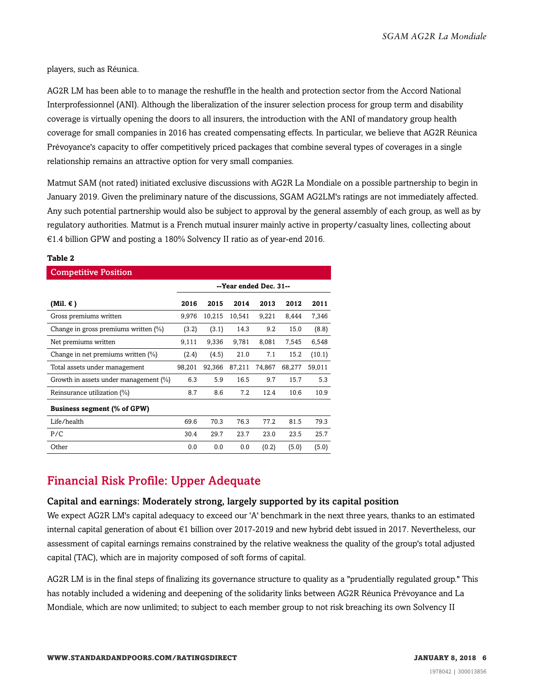players, such as Réunica.

AG2R LM has been able to to manage the reshuffle in the health and protection sector from the Accord National Interprofessionnel (ANI). Although the liberalization of the insurer selection process for group term and disability coverage is virtually opening the doors to all insurers, the introduction with the ANI of mandatory group health coverage for small companies in 2016 has created compensating effects. In particular, we believe that AG2R Réunica Prévoyance's capacity to offer competitively priced packages that combine several types of coverages in a single relationship remains an attractive option for very small companies.

Matmut SAM (not rated) initiated exclusive discussions with AG2R La Mondiale on a possible partnership to begin in January 2019. Given the preliminary nature of the discussions, SGAM AG2LM's ratings are not immediately affected. Any such potential partnership would also be subject to approval by the general assembly of each group, as well as by regulatory authorities. Matmut is a French mutual insurer mainly active in property/casualty lines, collecting about €1.4 billion GPW and posting a 180% Solvency II ratio as of year-end 2016.

| <b>Competitive Position</b>           |                        |        |        |        |        |        |  |
|---------------------------------------|------------------------|--------|--------|--------|--------|--------|--|
|                                       | --Year ended Dec. 31-- |        |        |        |        |        |  |
| (Mil. $\epsilon$ )                    | 2016                   | 2015   | 2014   | 2013   | 2012   | 2011   |  |
| Gross premiums written                | 9,976                  | 10,215 | 10,541 | 9,221  | 8,444  | 7,346  |  |
| Change in gross premiums written (%)  | (3.2)                  | (3.1)  | 14.3   | 9.2    | 15.0   | (8.8)  |  |
| Net premiums written                  | 9,111                  | 9,336  | 9,781  | 8,081  | 7,545  | 6,548  |  |
| Change in net premiums written (%)    | (2.4)                  | (4.5)  | 21.0   | 7.1    | 15.2   | (10.1) |  |
| Total assets under management         | 98,201                 | 92,366 | 87,211 | 74,867 | 68,277 | 59,011 |  |
| Growth in assets under management (%) | 6.3                    | 5.9    | 16.5   | 9.7    | 15.7   | 5.3    |  |
| Reinsurance utilization (%)           | 8.7                    | 8.6    | 7.2    | 12.4   | 10.6   | 10.9   |  |
| Business segment (% of GPW)           |                        |        |        |        |        |        |  |
| Life/health                           | 69.6                   | 70.3   | 76.3   | 77.2   | 81.5   | 79.3   |  |
| P/C                                   | 30.4                   | 29.7   | 23.7   | 23.0   | 23.5   | 25.7   |  |
| Other                                 | 0.0                    | 0.0    | 0.0    | (0.2)  | (5.0)  | (5.0)  |  |

#### **Table 2**

## <span id="page-5-0"></span>Financial Risk Profile: Upper Adequate

#### Capital and earnings: Moderately strong, largely supported by its capital position

We expect AG2R LM's capital adequacy to exceed our 'A' benchmark in the next three years, thanks to an estimated internal capital generation of about €1 billion over 2017-2019 and new hybrid debt issued in 2017. Nevertheless, our assessment of capital earnings remains constrained by the relative weakness the quality of the group's total adjusted capital (TAC), which are in majority composed of soft forms of capital.

AG2R LM is in the final steps of finalizing its governance structure to quality as a "prudentially regulated group." This has notably included a widening and deepening of the solidarity links between AG2R Réunica Prévoyance and La Mondiale, which are now unlimited; to subject to each member group to not risk breaching its own Solvency II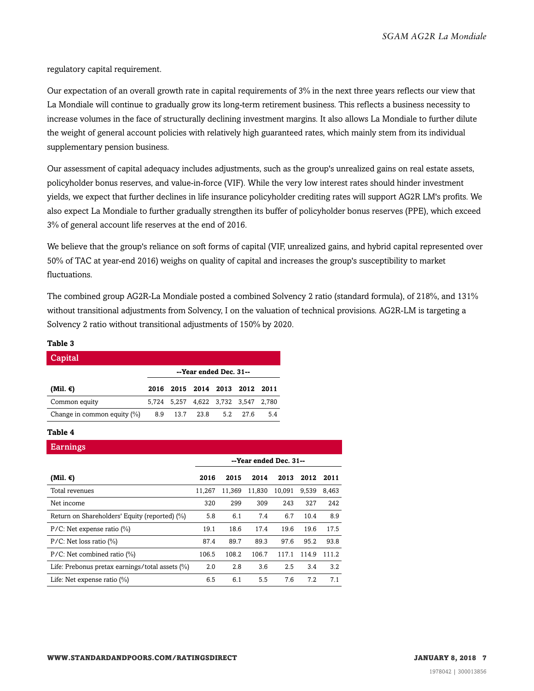regulatory capital requirement.

Our expectation of an overall growth rate in capital requirements of 3% in the next three years reflects our view that La Mondiale will continue to gradually grow its long-term retirement business. This reflects a business necessity to increase volumes in the face of structurally declining investment margins. It also allows La Mondiale to further dilute the weight of general account policies with relatively high guaranteed rates, which mainly stem from its individual supplementary pension business.

Our assessment of capital adequacy includes adjustments, such as the group's unrealized gains on real estate assets, policyholder bonus reserves, and value-in-force (VIF). While the very low interest rates should hinder investment yields, we expect that further declines in life insurance policyholder crediting rates will support AG2R LM's profits. We also expect La Mondiale to further gradually strengthen its buffer of policyholder bonus reserves (PPE), which exceed 3% of general account life reserves at the end of 2016.

We believe that the group's reliance on soft forms of capital (VIF, unrealized gains, and hybrid capital represented over 50% of TAC at year-end 2016) weighs on quality of capital and increases the group's susceptibility to market fluctuations.

The combined group AG2R-La Mondiale posted a combined Solvency 2 ratio (standard formula), of 218%, and 131% without transitional adjustments from Solvency, I on the valuation of technical provisions. AG2R-LM is targeting a Solvency 2 ratio without transitional adjustments of 150% by 2020.

#### **Table 3**

| Capital                        |                        |                                     |  |  |  |     |  |
|--------------------------------|------------------------|-------------------------------------|--|--|--|-----|--|
|                                | --Year ended Dec. 31-- |                                     |  |  |  |     |  |
| (Mil. $\epsilon$ )             |                        | 2016 2015 2014 2013 2012 2011       |  |  |  |     |  |
| Common equity                  |                        | 5,724 5,257 4,622 3,732 3,547 2,780 |  |  |  |     |  |
| Change in common equity $(\%)$ |                        | 8.9 13.7 23.8 5.2 27.6              |  |  |  | 5.4 |  |

#### **Table 4**

| <b>Earnings</b>                                    |                        |        |        |        |       |       |  |
|----------------------------------------------------|------------------------|--------|--------|--------|-------|-------|--|
|                                                    | --Year ended Dec. 31-- |        |        |        |       |       |  |
| (Mil. €)                                           | 2016                   | 2015   | 2014   | 2013   | 2012  | 2011  |  |
| Total revenues                                     | 11,267                 | 11,369 | 11,830 | 10,091 | 9,539 | 8.463 |  |
| Net income                                         | 320                    | 299    | 309    | 243    | 327   | 242   |  |
| Return on Shareholders' Equity (reported) (%)      | 5.8                    | 6.1    | 7.4    | 6.7    | 10.4  | 8.9   |  |
| $P/C$ : Net expense ratio $(\%)$                   | 19.1                   | 18.6   | 17.4   | 19.6   | 19.6  | 17.5  |  |
| $P/C$ : Net loss ratio (%)                         | 87.4                   | 89.7   | 89.3   | 97.6   | 95.2  | 93.8  |  |
| $P/C$ : Net combined ratio $(\%)$                  | 106.5                  | 108.2  | 106.7  | 117.1  | 114.9 | 111.2 |  |
| Life: Prebonus pretax earnings/total assets $(\%)$ | 2.0                    | 2.8    | 3.6    | 2.5    | 3.4   | 3.2   |  |
| Life: Net expense ratio $(\%)$                     | 6.5                    | 6.1    | 5.5    | 7.6    | 7.2   | 7.1   |  |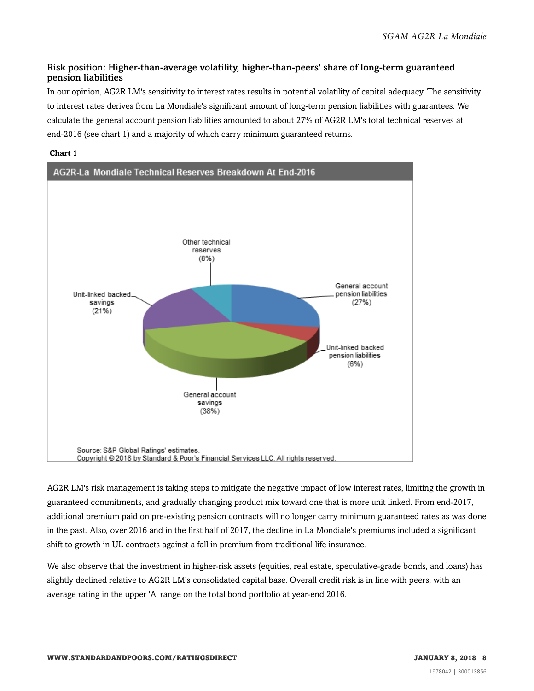#### Risk position: Higher-than-average volatility, higher-than-peers' share of long-term guaranteed pension liabilities

In our opinion, AG2R LM's sensitivity to interest rates results in potential volatility of capital adequacy. The sensitivity to interest rates derives from La Mondiale's significant amount of long-term pension liabilities with guarantees. We calculate the general account pension liabilities amounted to about 27% of AG2R LM's total technical reserves at end-2016 (see chart 1) and a majority of which carry minimum guaranteed returns.

#### **Chart 1**



AG2R LM's risk management is taking steps to mitigate the negative impact of low interest rates, limiting the growth in guaranteed commitments, and gradually changing product mix toward one that is more unit linked. From end-2017, additional premium paid on pre-existing pension contracts will no longer carry minimum guaranteed rates as was done in the past. Also, over 2016 and in the first half of 2017, the decline in La Mondiale's premiums included a significant shift to growth in UL contracts against a fall in premium from traditional life insurance.

We also observe that the investment in higher-risk assets (equities, real estate, speculative-grade bonds, and loans) has slightly declined relative to AG2R LM's consolidated capital base. Overall credit risk is in line with peers, with an average rating in the upper 'A' range on the total bond portfolio at year-end 2016.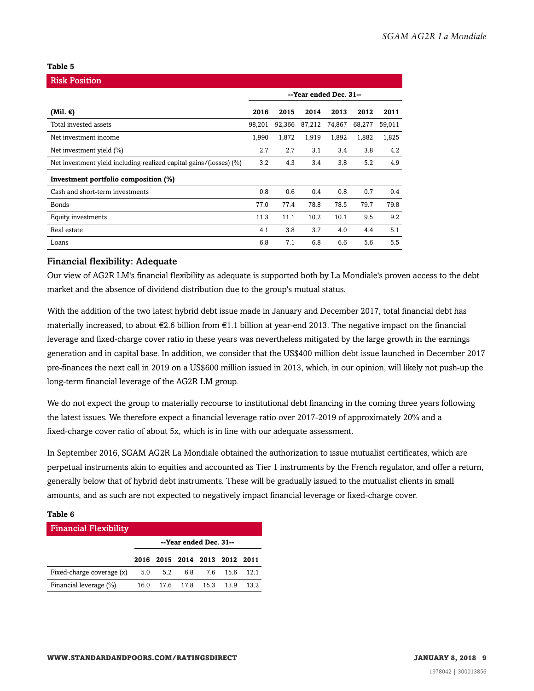#### **Table 5**

| <b>Risk Position</b>                                               |                        |        |        |        |        |        |
|--------------------------------------------------------------------|------------------------|--------|--------|--------|--------|--------|
|                                                                    | --Year ended Dec. 31-- |        |        |        |        |        |
| (Mil. $\epsilon$ )                                                 | 2016                   | 2015   | 2014   | 2013   | 2012   | 2011   |
| Total invested assets                                              | 98,201                 | 92,366 | 87,212 | 74,867 | 68,277 | 59,011 |
| Net investment income                                              | 1,990                  | 1,872  | 1,919  | 1,892  | 1,882  | 1,825  |
| Net investment yield (%)                                           | 2.7                    | 2.7    | 3.1    | 3.4    | 3.8    | 4.2    |
| Net investment yield including realized capital gains/(losses) (%) | 3.2                    | 4.3    | 3.4    | 3.8    | 5.2    | 4.9    |
| Investment portfolio composition (%)                               |                        |        |        |        |        |        |
| Cash and short-term investments                                    | 0.8                    | 0.6    | 0.4    | 0.8    | 0.7    | 0.4    |
| Bonds                                                              | 77.0                   | 77.4   | 78.8   | 78.5   | 79.7   | 79.8   |
| Equity investments                                                 | 11.3                   | 11.1   | 10.2   | 10.1   | 9.5    | 9.2    |
| Real estate                                                        | 4.1                    | 3.8    | 3.7    | 4.0    | 4.4    | 5.1    |
| Loans                                                              | 6.8                    | 7.1    | 6.8    | 6.6    | 5.6    | 5.5    |

#### Financial flexibility: Adequate

Our view of AG2R LM's financial flexibility as adequate is supported both by La Mondiale's proven access to the debt market and the absence of dividend distribution due to the group's mutual status.

With the addition of the two latest hybrid debt issue made in January and December 2017, total financial debt has materially increased, to about  $\epsilon$ 2.6 billion from  $\epsilon$ 1.1 billion at year-end 2013. The negative impact on the financial leverage and fixed-charge cover ratio in these years was nevertheless mitigated by the large growth in the earnings generation and in capital base. In addition, we consider that the US\$400 million debt issue launched in December 2017 pre-finances the next call in 2019 on a US\$600 million issued in 2013, which, in our opinion, will likely not push-up the long-term financial leverage of the AG2R LM group.

We do not expect the group to materially recourse to institutional debt financing in the coming three years following the latest issues. We therefore expect a financial leverage ratio over 2017-2019 of approximately 20% and a fixed-charge cover ratio of about 5x, which is in line with our adequate assessment.

In September 2016, SGAM AG2R La Mondiale obtained the authorization to issue mutualist certificates, which are perpetual instruments akin to equities and accounted as Tier 1 instruments by the French regulator, and offer a return, generally below that of hybrid debt instruments. These will be gradually issued to the mutualist clients in small amounts, and as such are not expected to negatively impact financial leverage or fixed-charge cover.

#### **Table 6**

| <b>Financial Flexibility</b> |                        |                          |  |  |                               |      |  |
|------------------------------|------------------------|--------------------------|--|--|-------------------------------|------|--|
|                              | --Year ended Dec. 31-- |                          |  |  |                               |      |  |
|                              |                        |                          |  |  | 2016 2015 2014 2013 2012 2011 |      |  |
| Fixed-charge coverage (x)    |                        | 5.0 5.2 6.8 7.6 15.6     |  |  |                               | 12.1 |  |
| Financial leverage (%)       |                        | 16.0 17.6 17.8 15.3 13.9 |  |  |                               | 13.2 |  |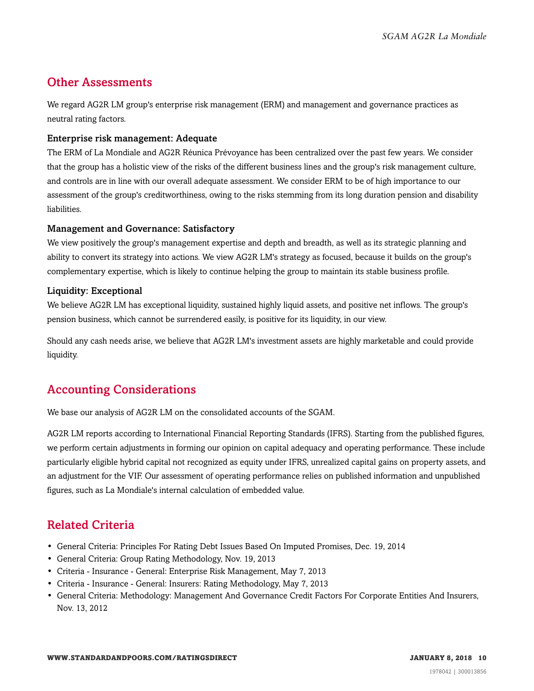## <span id="page-9-0"></span>Other Assessments

We regard AG2R LM group's enterprise risk management (ERM) and management and governance practices as neutral rating factors.

#### Enterprise risk management: Adequate

The ERM of La Mondiale and AG2R Réunica Prévoyance has been centralized over the past few years. We consider that the group has a holistic view of the risks of the different business lines and the group's risk management culture, and controls are in line with our overall adequate assessment. We consider ERM to be of high importance to our assessment of the group's creditworthiness, owing to the risks stemming from its long duration pension and disability liabilities.

#### Management and Governance: Satisfactory

We view positively the group's management expertise and depth and breadth, as well as its strategic planning and ability to convert its strategy into actions. We view AG2R LM's strategy as focused, because it builds on the group's complementary expertise, which is likely to continue helping the group to maintain its stable business profile.

#### Liquidity: Exceptional

We believe AG2R LM has exceptional liquidity, sustained highly liquid assets, and positive net inflows. The group's pension business, which cannot be surrendered easily, is positive for its liquidity, in our view.

Should any cash needs arise, we believe that AG2R LM's investment assets are highly marketable and could provide liquidity.

## <span id="page-9-1"></span>Accounting Considerations

We base our analysis of AG2R LM on the consolidated accounts of the SGAM.

AG2R LM reports according to International Financial Reporting Standards (IFRS). Starting from the published figures, we perform certain adjustments in forming our opinion on capital adequacy and operating performance. These include particularly eligible hybrid capital not recognized as equity under IFRS, unrealized capital gains on property assets, and an adjustment for the VIF. Our assessment of operating performance relies on published information and unpublished figures, such as La Mondiale's internal calculation of embedded value.

## <span id="page-9-2"></span>Related Criteria

- General Criteria: Principles For Rating Debt Issues Based On Imputed Promises, Dec. 19, 2014
- General Criteria: Group Rating Methodology, Nov. 19, 2013
- Criteria Insurance General: Enterprise Risk Management, May 7, 2013
- Criteria Insurance General: Insurers: Rating Methodology, May 7, 2013
- General Criteria: Methodology: Management And Governance Credit Factors For Corporate Entities And Insurers, Nov. 13, 2012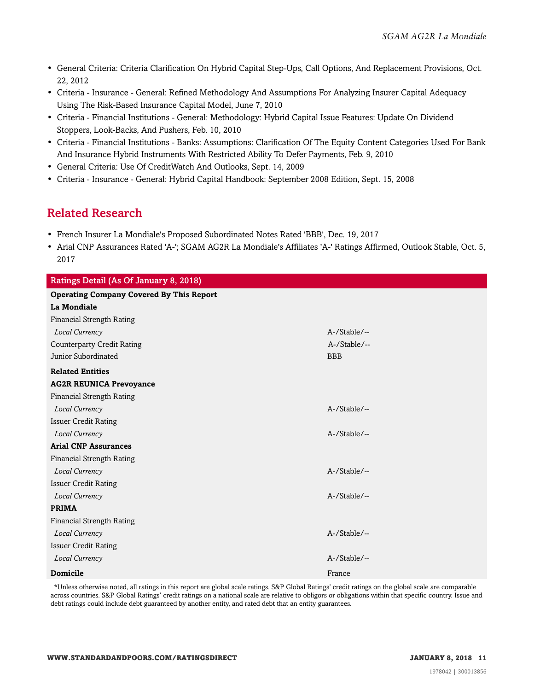- General Criteria: Criteria Clarification On Hybrid Capital Step-Ups, Call Options, And Replacement Provisions, Oct. 22, 2012
- Criteria Insurance General: Refined Methodology And Assumptions For Analyzing Insurer Capital Adequacy Using The Risk-Based Insurance Capital Model, June 7, 2010
- Criteria Financial Institutions General: Methodology: Hybrid Capital Issue Features: Update On Dividend Stoppers, Look-Backs, And Pushers, Feb. 10, 2010
- Criteria Financial Institutions Banks: Assumptions: Clarification Of The Equity Content Categories Used For Bank And Insurance Hybrid Instruments With Restricted Ability To Defer Payments, Feb. 9, 2010
- General Criteria: Use Of CreditWatch And Outlooks, Sept. 14, 2009
- <span id="page-10-0"></span>• Criteria - Insurance - General: Hybrid Capital Handbook: September 2008 Edition, Sept. 15, 2008

## Related Research

- French Insurer La Mondiale's Proposed Subordinated Notes Rated 'BBB', Dec. 19, 2017
- Arial CNP Assurances Rated 'A-'; SGAM AG2R La Mondiale's Affiliates 'A-' Ratings Affirmed, Outlook Stable, Oct. 5, 2017

| Ratings Detail (As Of January 8, 2018)          |              |
|-------------------------------------------------|--------------|
| <b>Operating Company Covered By This Report</b> |              |
| La Mondiale                                     |              |
| <b>Financial Strength Rating</b>                |              |
| Local Currency                                  | A-/Stable/-- |
| <b>Counterparty Credit Rating</b>               | A-/Stable/-- |
| Junior Subordinated                             | <b>BBB</b>   |
| <b>Related Entities</b>                         |              |
| <b>AG2R REUNICA Prevoyance</b>                  |              |
| Financial Strength Rating                       |              |
| Local Currency                                  | A-/Stable/-- |
| <b>Issuer Credit Rating</b>                     |              |
| Local Currency                                  | A-/Stable/-- |
| <b>Arial CNP Assurances</b>                     |              |
| <b>Financial Strength Rating</b>                |              |
| Local Currency                                  | A-/Stable/-- |
| <b>Issuer Credit Rating</b>                     |              |
| Local Currency                                  | A-/Stable/-- |
| <b>PRIMA</b>                                    |              |
| <b>Financial Strength Rating</b>                |              |
| Local Currency                                  | A-/Stable/-- |
| <b>Issuer Credit Rating</b>                     |              |
| Local Currency                                  | A-/Stable/-- |
| <b>Domicile</b>                                 | France       |

\*Unless otherwise noted, all ratings in this report are global scale ratings. S&P Global Ratings' credit ratings on the global scale are comparable across countries. S&P Global Ratings' credit ratings on a national scale are relative to obligors or obligations within that specific country. Issue and debt ratings could include debt guaranteed by another entity, and rated debt that an entity guarantees.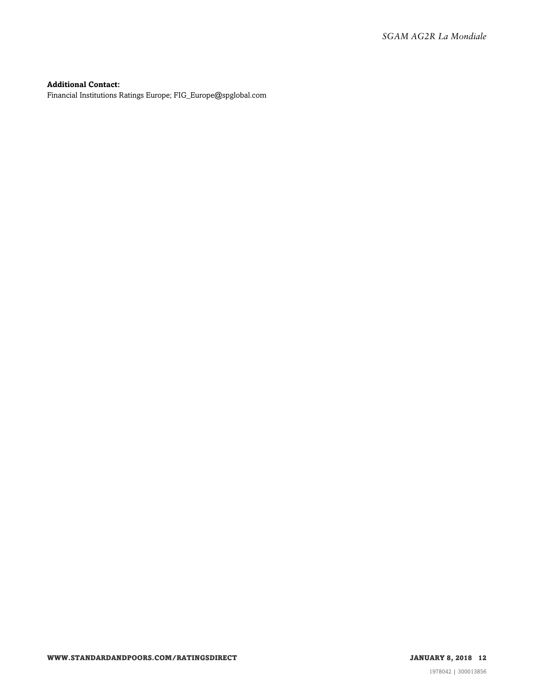#### **Additional Contact:**

Financial Institutions Ratings Europe; FIG\_Europe@spglobal.com